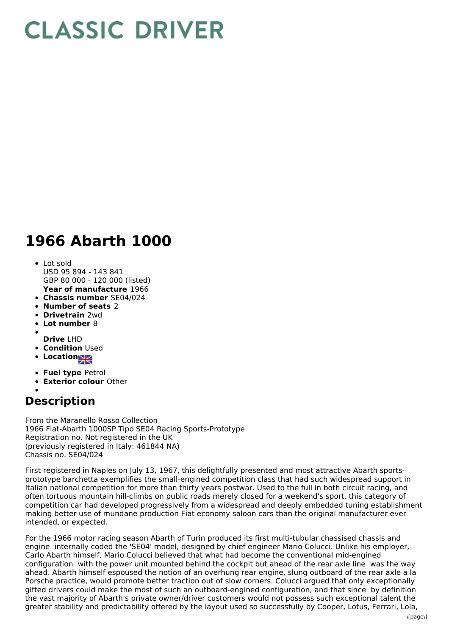## **CLASSIC DRIVER**

## **1966 Abarth 1000**

- **Year of manufacture** 1966 Lot sold USD 95 894 - 143 841 GBP 80 000 - 120 000 (listed)
- **Chassis number** SE04/024
- **Number of seats** 2
- **Drivetrain** 2wd
- **Lot number** 8
- 
- **Drive** LHD
- **Condition Used**
- **Locations**
- **Fuel type** Petrol
- **Exterior colour** Other
- 

## **Description**

From the Maranello Rosso Collection 1966 Fiat-Abarth 1000SP Tipo SE04 Racing Sports-Prototype Registration no. Not registered in the UK (previously registered in Italy: 461844 NA) Chassis no. SE04/024

First registered in Naples on July 13, 1967, this delightfully presented and most attractive Abarth sportsprototype barchetta exemplifies the small-engined competition class that had such widespread support in Italian national competition for more than thirty years postwar. Used to the full in both circuit racing, and often tortuous mountain hill-climbs on public roads merely closed for a weekend's sport, this category of competition car had developed progressively from a widespread and deeply embedded tuning establishment making better use of mundane production Fiat economy saloon cars than the original manufacturer ever intended, or expected.

For the 1966 motor racing season Abarth of Turin produced its first multi-tubular chassised chassis and engine internally coded the 'SE04' model, designed by chief engineer Mario Colucci. Unlike his employer, Carlo Abarth himself, Mario Colucci believed that what had become the conventional mid-engined configuration with the power unit mounted behind the cockpit but ahead of the rear axle line was the way ahead. Abarth himself espoused the notion of an overhung rear engine, slung outboard of the rear axle a la Porsche practice, would promote better traction out of slow corners. Colucci argued that only exceptionally gifted drivers could make the most of such an outboard-engined configuration, and that since by definition the vast majority of Abarth's private owner/driver customers would not possess such exceptional talent the greater stability and predictability offered by the layout used so successfully by Cooper, Lotus, Ferrari, Lola,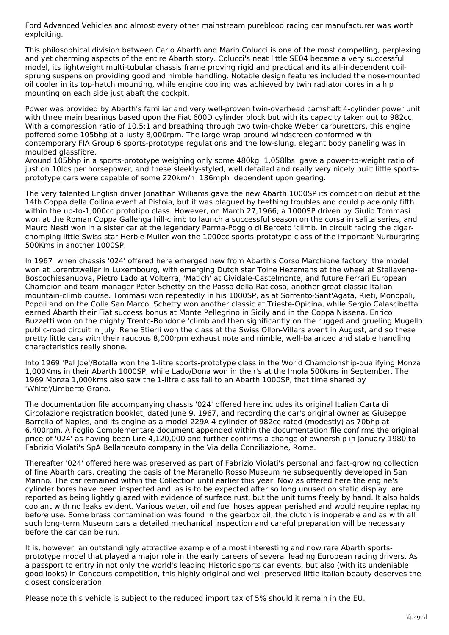Ford Advanced Vehicles and almost every other mainstream pureblood racing car manufacturer was worth exploiting.

This philosophical division between Carlo Abarth and Mario Colucci is one of the most compelling, perplexing and yet charming aspects of the entire Abarth story. Colucci's neat little SE04 became a very successful model, its lightweight multi-tubular chassis frame proving rigid and practical and its all-independent coilsprung suspension providing good and nimble handling. Notable design features included the nose-mounted oil cooler in its top-hatch mounting, while engine cooling was achieved by twin radiator cores in a hip mounting on each side just abaft the cockpit.

Power was provided by Abarth's familiar and very well-proven twin-overhead camshaft 4-cylinder power unit with three main bearings based upon the Fiat 600D cylinder block but with its capacity taken out to 982cc. With a compression ratio of 10.5:1 and breathing through two twin-choke Weber carburettors, this engine poffered some 105bhp at a lusty 8,000rpm. The large wrap-around windscreen conformed with contemporary FIA Group 6 sports-prototype regulations and the low-slung, elegant body paneling was in moulded glassfibre.

Around 105bhp in a sports-prototype weighing only some 480kg 1,058lbs gave a power-to-weight ratio of just on 10lbs per horsepower, and these sleekly-styled, well detailed and really very nicely built little sportsprototype cars were capable of some 220km/h 136mph dependent upon gearing.

The very talented English driver Jonathan Williams gave the new Abarth 1000SP its competition debut at the 14th Coppa della Collina event at Pistoia, but it was plagued by teething troubles and could place only fifth within the up-to-1,000cc prototipo class. However, on March 27,1966, a 1000SP driven by Giulio Tommasi won at the Roman Coppa Gallenga hill-climb to launch a successful season on the corsa in salita series, and Mauro Nesti won in a sister car at the legendary Parma-Poggio di Berceto 'climb. In circuit racing the cigarchomping little Swiss star Herbie Muller won the 1000cc sports-prototype class of the important Nurburgring 500Kms in another 1000SP.

In 1967 when chassis '024' offered here emerged new from Abarth's Corso Marchione factory the model won at Lorentzweiler in Luxembourg, with emerging Dutch star Toine Hezemans at the wheel at Stallavena-Boscochiesanuova, Pietro Lado at Volterra, 'Matich' at Cividale-Castelmonte, and future Ferrari European Champion and team manager Peter Schetty on the Passo della Raticosa, another great classic Italian mountain-climb course. Tommasi won repeatedly in his 1000SP, as at Sorrento-Sant'Agata, Rieti, Monopoli, Popoli and on the Colle San Marco. Schetty won another classic at Trieste-Opicina, while Sergio Calascibetta earned Abarth their Fiat success bonus at Monte Pellegrino in Sicily and in the Coppa Nissena. Enrico Buzzetti won on the mighty Trento-Bondone 'climb and then significantly on the rugged and grueling Mugello public-road circuit in July. Rene Stierli won the class at the Swiss Ollon-Villars event in August, and so these pretty little cars with their raucous 8,000rpm exhaust note and nimble, well-balanced and stable handling characteristics really shone.

Into 1969 'Pal Joe'/Botalla won the 1-litre sports-prototype class in the World Championship-qualifying Monza 1,000Kms in their Abarth 1000SP, while Lado/Dona won in their's at the Imola 500kms in September. The 1969 Monza 1,000kms also saw the 1-litre class fall to an Abarth 1000SP, that time shared by 'White'/Umberto Grano.

The documentation file accompanying chassis '024' offered here includes its original Italian Carta di Circolazione registration booklet, dated June 9, 1967, and recording the car's original owner as Giuseppe Barrella of Naples, and its engine as a model 229A 4-cylinder of 982cc rated (modestly) as 70bhp at 6,400rpm. A Foglio Complementare document appended within the documentation file confirms the original price of '024' as having been Lire 4,120,000 and further confirms a change of ownership in January 1980 to Fabrizio Violati's SpA Bellancauto company in the Via della Conciliazione, Rome.

Thereafter '024' offered here was preserved as part of Fabrizio Violati's personal and fast-growing collection of fine Abarth cars, creating the basis of the Maranello Rosso Museum he subsequently developed in San Marino. The car remained within the Collection until earlier this year. Now as offered here the engine's cylinder bores have been inspected and as is to be expected after so long unused on static display are reported as being lightly glazed with evidence of surface rust, but the unit turns freely by hand. It also holds coolant with no leaks evident. Various water, oil and fuel hoses appear perished and would require replacing before use. Some brass contamination was found in the gearbox oil, the clutch is inoperable and as with all such long-term Museum cars a detailed mechanical inspection and careful preparation will be necessary before the car can be run.

It is, however, an outstandingly attractive example of a most interesting and now rare Abarth sportsprototype model that played a major role in the early careers of several leading European racing drivers. As a passport to entry in not only the world's leading Historic sports car events, but also (with its undeniable good looks) in Concours competition, this highly original and well-preserved little Italian beauty deserves the closest consideration.

Please note this vehicle is subject to the reduced import tax of 5% should it remain in the EU.